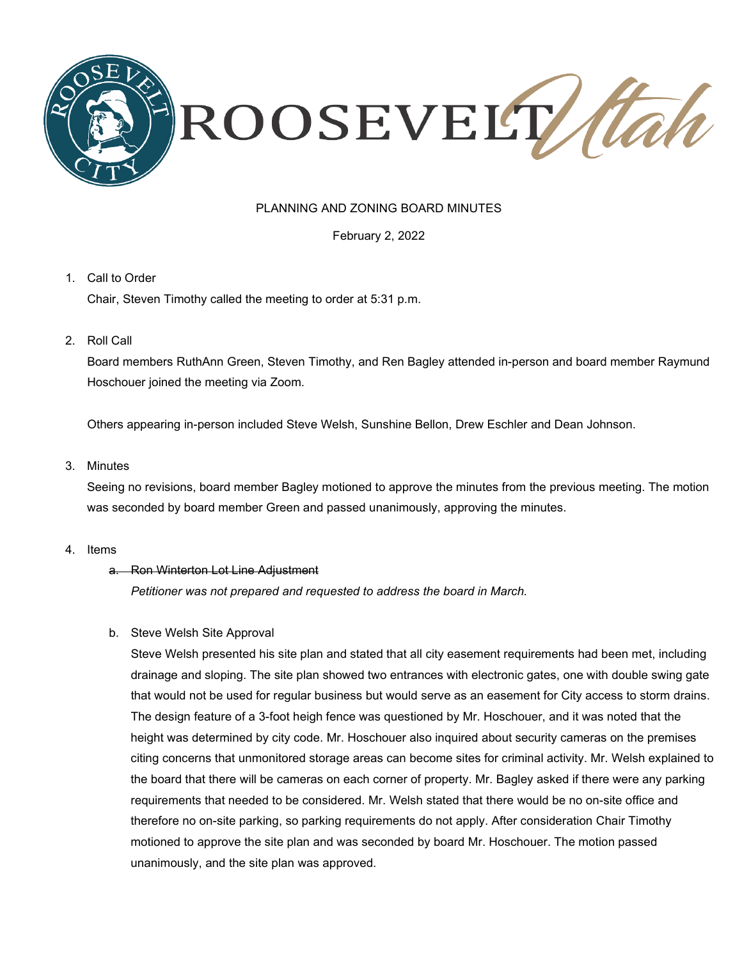

# PLANNING AND ZONING BOARD MINUTES

February 2, 2022

## 1. Call to Order

Chair, Steven Timothy called the meeting to order at 5:31 p.m.

2. Roll Call

Board members RuthAnn Green, Steven Timothy, and Ren Bagley attended in-person and board member Raymund Hoschouer joined the meeting via Zoom.

Others appearing in-person included Steve Welsh, Sunshine Bellon, Drew Eschler and Dean Johnson.

### 3. Minutes

Seeing no revisions, board member Bagley motioned to approve the minutes from the previous meeting. The motion was seconded by board member Green and passed unanimously, approving the minutes.

4. Items

### a. Ron Winterton Lot Line Adjustment

*Petitioner was not prepared and requested to address the board in March.*

### b. Steve Welsh Site Approval

Steve Welsh presented his site plan and stated that all city easement requirements had been met, including drainage and sloping. The site plan showed two entrances with electronic gates, one with double swing gate that would not be used for regular business but would serve as an easement for City access to storm drains. The design feature of a 3-foot heigh fence was questioned by Mr. Hoschouer, and it was noted that the height was determined by city code. Mr. Hoschouer also inquired about security cameras on the premises citing concerns that unmonitored storage areas can become sites for criminal activity. Mr. Welsh explained to the board that there will be cameras on each corner of property. Mr. Bagley asked if there were any parking requirements that needed to be considered. Mr. Welsh stated that there would be no on-site office and therefore no on-site parking, so parking requirements do not apply. After consideration Chair Timothy motioned to approve the site plan and was seconded by board Mr. Hoschouer. The motion passed unanimously, and the site plan was approved.